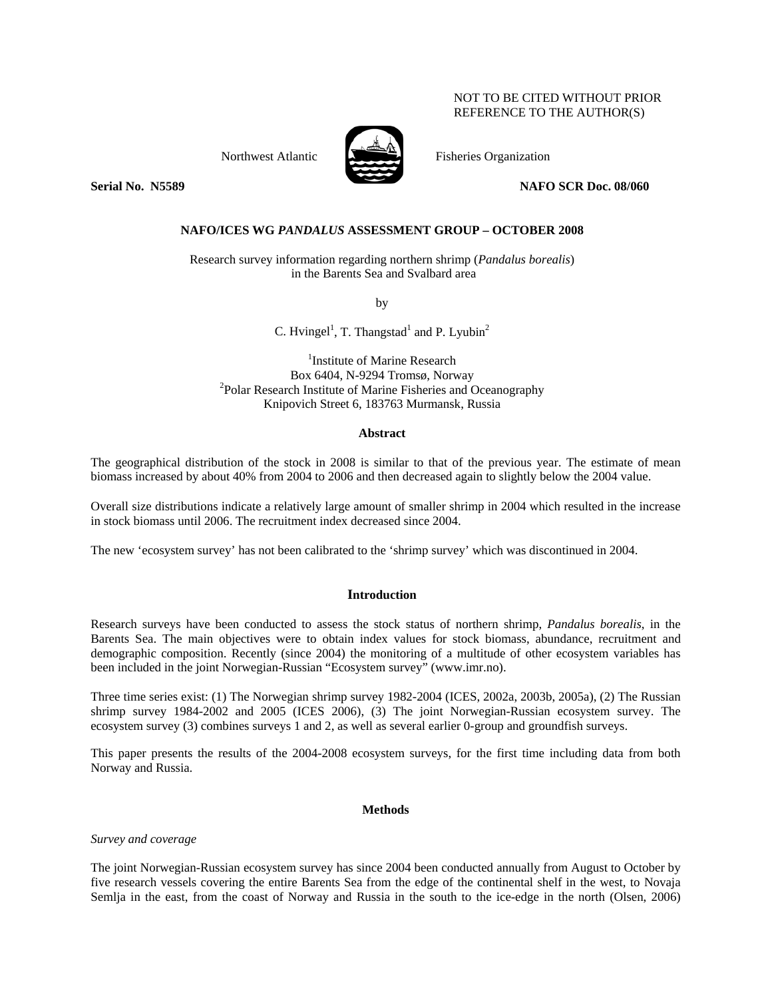# NOT TO BE CITED WITHOUT PRIOR REFERENCE TO THE AUTHOR(S)



Northwest Atlantic  $\overline{\mathbf{A}}$  Fisheries Organization

**Serial No. 35589 20060 20060 20060 20060 20060 20060 20060 20060 20060 20060 20060 20060 20060 20060 20060 20060 20060 20060 20060 20060 20060 20060 20060 20060 20060 20060 20060 20060 20060 20060 20060 20060 20060 20060** 

# **NAFO/ICES WG** *PANDALUS* **ASSESSMENT GROUP – OCTOBER 2008**

Research survey information regarding northern shrimp (*Pandalus borealis*) in the Barents Sea and Svalbard area

by

C. Hvingel<sup>1</sup>, T. Thangstad<sup>1</sup> and P. Lyubin<sup>2</sup>

<sup>1</sup>Institute of Marine Research Box 6404, N-9294 Tromsø, Norway 2 <sup>2</sup>Polar Research Institute of Marine Fisheries and Oceanography Knipovich Street 6, 183763 Murmansk, Russia

### **Abstract**

The geographical distribution of the stock in 2008 is similar to that of the previous year. The estimate of mean biomass increased by about 40% from 2004 to 2006 and then decreased again to slightly below the 2004 value.

Overall size distributions indicate a relatively large amount of smaller shrimp in 2004 which resulted in the increase in stock biomass until 2006. The recruitment index decreased since 2004.

The new 'ecosystem survey' has not been calibrated to the 'shrimp survey' which was discontinued in 2004.

## **Introduction**

Research surveys have been conducted to assess the stock status of northern shrimp, *Pandalus borealis*, in the Barents Sea. The main objectives were to obtain index values for stock biomass, abundance, recruitment and demographic composition. Recently (since 2004) the monitoring of a multitude of other ecosystem variables has been included in the joint Norwegian-Russian "Ecosystem survey" (www.imr.no).

Three time series exist: (1) The Norwegian shrimp survey 1982-2004 (ICES, 2002a, 2003b, 2005a), (2) The Russian shrimp survey 1984-2002 and 2005 (ICES 2006), (3) The joint Norwegian-Russian ecosystem survey. The ecosystem survey (3) combines surveys 1 and 2, as well as several earlier 0-group and groundfish surveys.

This paper presents the results of the 2004-2008 ecosystem surveys, for the first time including data from both Norway and Russia.

# **Methods**

*Survey and coverage* 

The joint Norwegian-Russian ecosystem survey has since 2004 been conducted annually from August to October by five research vessels covering the entire Barents Sea from the edge of the continental shelf in the west, to Novaja Semlja in the east, from the coast of Norway and Russia in the south to the ice-edge in the north (Olsen, 2006)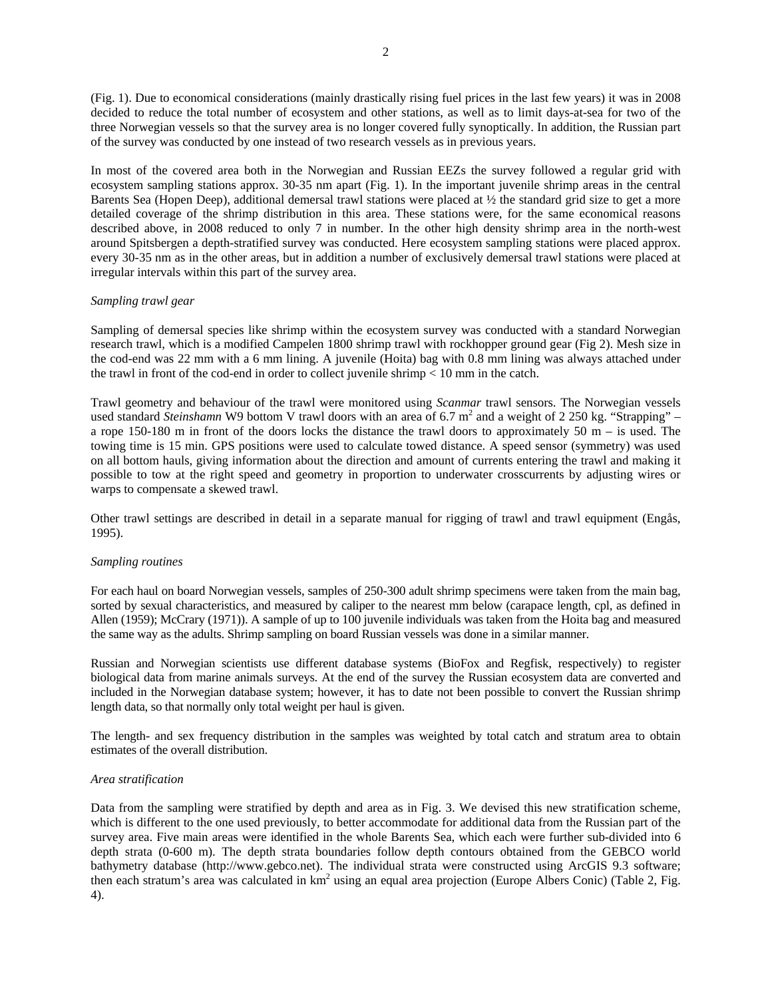(Fig. 1). Due to economical considerations (mainly drastically rising fuel prices in the last few years) it was in 2008 decided to reduce the total number of ecosystem and other stations, as well as to limit days-at-sea for two of the three Norwegian vessels so that the survey area is no longer covered fully synoptically. In addition, the Russian part of the survey was conducted by one instead of two research vessels as in previous years.

In most of the covered area both in the Norwegian and Russian EEZs the survey followed a regular grid with ecosystem sampling stations approx. 30-35 nm apart (Fig. 1). In the important juvenile shrimp areas in the central Barents Sea (Hopen Deep), additional demersal trawl stations were placed at ½ the standard grid size to get a more detailed coverage of the shrimp distribution in this area. These stations were, for the same economical reasons described above, in 2008 reduced to only 7 in number. In the other high density shrimp area in the north-west around Spitsbergen a depth-stratified survey was conducted. Here ecosystem sampling stations were placed approx. every 30-35 nm as in the other areas, but in addition a number of exclusively demersal trawl stations were placed at irregular intervals within this part of the survey area.

### *Sampling trawl gear*

Sampling of demersal species like shrimp within the ecosystem survey was conducted with a standard Norwegian research trawl, which is a modified Campelen 1800 shrimp trawl with rockhopper ground gear (Fig 2). Mesh size in the cod-end was 22 mm with a 6 mm lining. A juvenile (Hoita) bag with 0.8 mm lining was always attached under the trawl in front of the cod-end in order to collect juvenile shrimp < 10 mm in the catch.

Trawl geometry and behaviour of the trawl were monitored using *Scanmar* trawl sensors. The Norwegian vessels used standard *Steinshamn* W9 bottom V trawl doors with an area of 6.7 m<sup>2</sup> and a weight of 2 250 kg. "Strapping" – a rope 150-180 m in front of the doors locks the distance the trawl doors to approximately 50 m – is used. The towing time is 15 min. GPS positions were used to calculate towed distance. A speed sensor (symmetry) was used on all bottom hauls, giving information about the direction and amount of currents entering the trawl and making it possible to tow at the right speed and geometry in proportion to underwater crosscurrents by adjusting wires or warps to compensate a skewed trawl.

Other trawl settings are described in detail in a separate manual for rigging of trawl and trawl equipment (Engås, 1995).

### *Sampling routines*

For each haul on board Norwegian vessels, samples of 250-300 adult shrimp specimens were taken from the main bag, sorted by sexual characteristics, and measured by caliper to the nearest mm below (carapace length, cpl, as defined in Allen (1959); McCrary (1971)). A sample of up to 100 juvenile individuals was taken from the Hoita bag and measured the same way as the adults. Shrimp sampling on board Russian vessels was done in a similar manner.

Russian and Norwegian scientists use different database systems (BioFox and Regfisk, respectively) to register biological data from marine animals surveys. At the end of the survey the Russian ecosystem data are converted and included in the Norwegian database system; however, it has to date not been possible to convert the Russian shrimp length data, so that normally only total weight per haul is given.

The length- and sex frequency distribution in the samples was weighted by total catch and stratum area to obtain estimates of the overall distribution.

### *Area stratification*

Data from the sampling were stratified by depth and area as in Fig. 3. We devised this new stratification scheme, which is different to the one used previously, to better accommodate for additional data from the Russian part of the survey area. Five main areas were identified in the whole Barents Sea, which each were further sub-divided into 6 depth strata (0-600 m). The depth strata boundaries follow depth contours obtained from the GEBCO world bathymetry database (http://www.gebco.net). The individual strata were constructed using ArcGIS 9.3 software; then each stratum's area was calculated in  $km^2$  using an equal area projection (Europe Albers Conic) (Table 2, Fig. 4).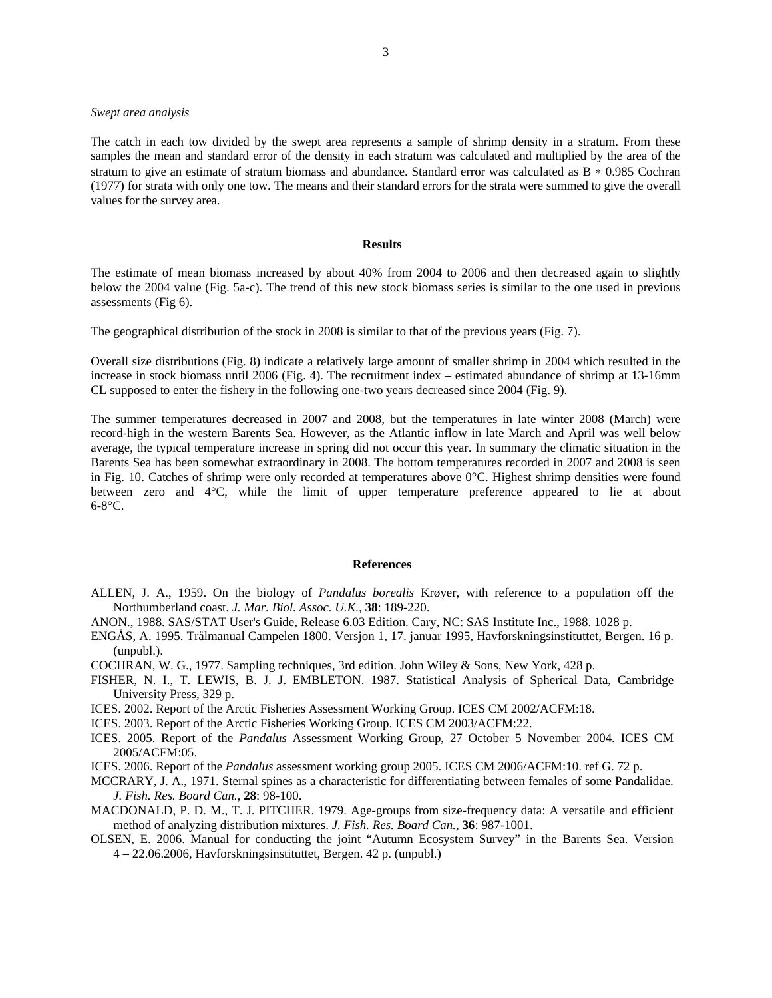#### *Swept area analysis*

The catch in each tow divided by the swept area represents a sample of shrimp density in a stratum. From these samples the mean and standard error of the density in each stratum was calculated and multiplied by the area of the stratum to give an estimate of stratum biomass and abundance. Standard error was calculated as B  $*$  0.985 Cochran (1977) for strata with only one tow. The means and their standard errors for the strata were summed to give the overall values for the survey area.

### **Results**

The estimate of mean biomass increased by about 40% from 2004 to 2006 and then decreased again to slightly below the 2004 value (Fig. 5a-c). The trend of this new stock biomass series is similar to the one used in previous assessments (Fig 6).

The geographical distribution of the stock in 2008 is similar to that of the previous years (Fig. 7).

Overall size distributions (Fig. 8) indicate a relatively large amount of smaller shrimp in 2004 which resulted in the increase in stock biomass until 2006 (Fig. 4). The recruitment index – estimated abundance of shrimp at 13-16mm CL supposed to enter the fishery in the following one-two years decreased since 2004 (Fig. 9).

The summer temperatures decreased in 2007 and 2008, but the temperatures in late winter 2008 (March) were record-high in the western Barents Sea. However, as the Atlantic inflow in late March and April was well below average, the typical temperature increase in spring did not occur this year. In summary the climatic situation in the Barents Sea has been somewhat extraordinary in 2008. The bottom temperatures recorded in 2007 and 2008 is seen in Fig. 10. Catches of shrimp were only recorded at temperatures above 0°C. Highest shrimp densities were found between zero and 4°C, while the limit of upper temperature preference appeared to lie at about  $6-8$ °C.

#### **References**

- ALLEN, J. A., 1959. On the biology of *Pandalus borealis* Krøyer, with reference to a population off the Northumberland coast. *J. Mar. Biol. Assoc. U.K.*, **38**: 189-220.
- ANON., 1988. SAS/STAT User's Guide, Release 6.03 Edition. Cary, NC: SAS Institute Inc., 1988. 1028 p.
- ENGÅS, A. 1995. Trålmanual Campelen 1800. Versjon 1, 17. januar 1995, Havforskningsinstituttet, Bergen. 16 p. (unpubl.).
- COCHRAN, W. G., 1977. Sampling techniques, 3rd edition. John Wiley & Sons, New York, 428 p.
- FISHER, N. I., T. LEWIS, B. J. J. EMBLETON. 1987. Statistical Analysis of Spherical Data, Cambridge University Press, 329 p.
- ICES. 2002. Report of the Arctic Fisheries Assessment Working Group. ICES CM 2002/ACFM:18.
- ICES. 2003. Report of the Arctic Fisheries Working Group. ICES CM 2003/ACFM:22.
- ICES. 2005. Report of the *Pandalus* Assessment Working Group, 27 October–5 November 2004. ICES CM 2005/ACFM:05.
- ICES. 2006. Report of the *Pandalus* assessment working group 2005. ICES CM 2006/ACFM:10. ref G. 72 p.
- MCCRARY, J. A., 1971. Sternal spines as a characteristic for differentiating between females of some Pandalidae. *J. Fish. Res. Board Can.*, **28**: 98-100.
- MACDONALD, P. D. M., T. J. PITCHER. 1979. Age-groups from size-frequency data: A versatile and efficient method of analyzing distribution mixtures. *J. Fish. Res. Board Can.*, **36**: 987-1001.
- OLSEN, E. 2006. Manual for conducting the joint "Autumn Ecosystem Survey" in the Barents Sea. Version 4 – 22.06.2006, Havforskningsinstituttet, Bergen. 42 p. (unpubl.)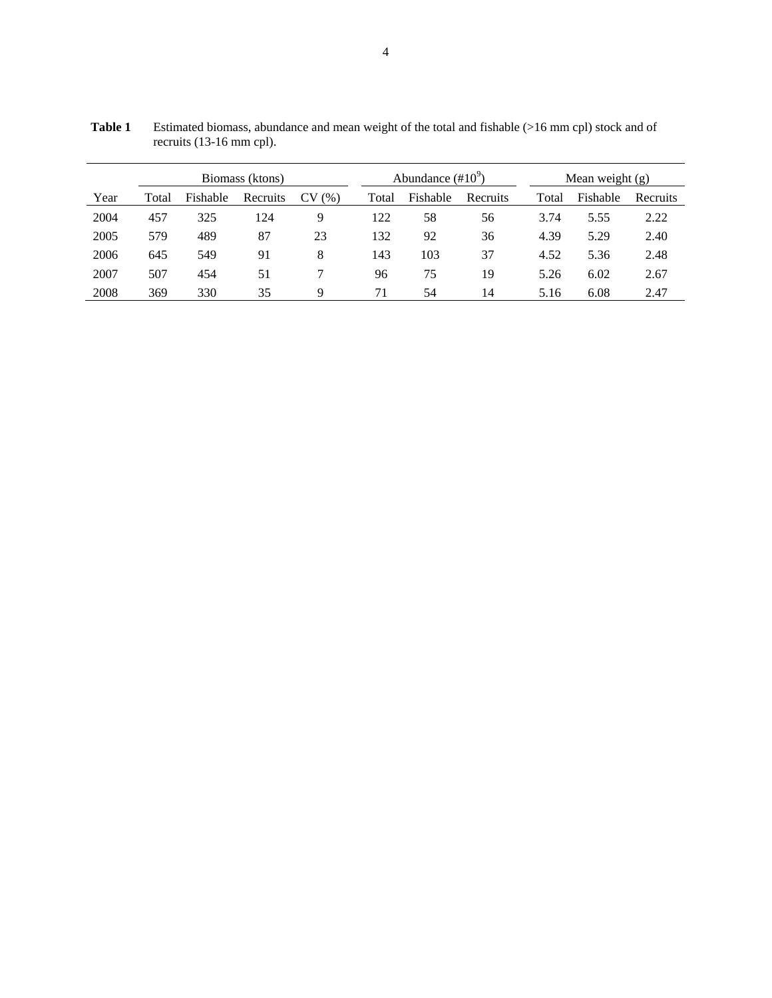|      |       |          | Biomass (ktons) |                   |       | Abundance $(\text{\#}10^9)$ |          |       | Mean weight $(g)$ |          |  |  |  |
|------|-------|----------|-----------------|-------------------|-------|-----------------------------|----------|-------|-------------------|----------|--|--|--|
| Year | Total | Fishable | Recruits        | <b>CV</b><br>(% ) | Total | Fishable                    | Recruits | Total | Fishable          | Recruits |  |  |  |
| 2004 | 457   | 325      | 124             | q                 | 122   | 58                          | 56       | 3.74  | 5.55              | 2.22     |  |  |  |
| 2005 | 579   | 489      | 87              | 23                | 132   | 92                          | 36       | 4.39  | 5.29              | 2.40     |  |  |  |
| 2006 | 645   | 549      | 91              | 8                 | 143   | 103                         | 37       | 4.52  | 5.36              | 2.48     |  |  |  |
| 2007 | 507   | 454      | 51              |                   | 96    | 75                          | 19       | 5.26  | 6.02              | 2.67     |  |  |  |
| 2008 | 369   | 330      | 35              | 9                 | 71    | 54                          | 14       | 5.16  | 6.08              | 2.47     |  |  |  |

Table 1 Estimated biomass, abundance and mean weight of the total and fishable (>16 mm cpl) stock and of recruits (13-16 mm cpl).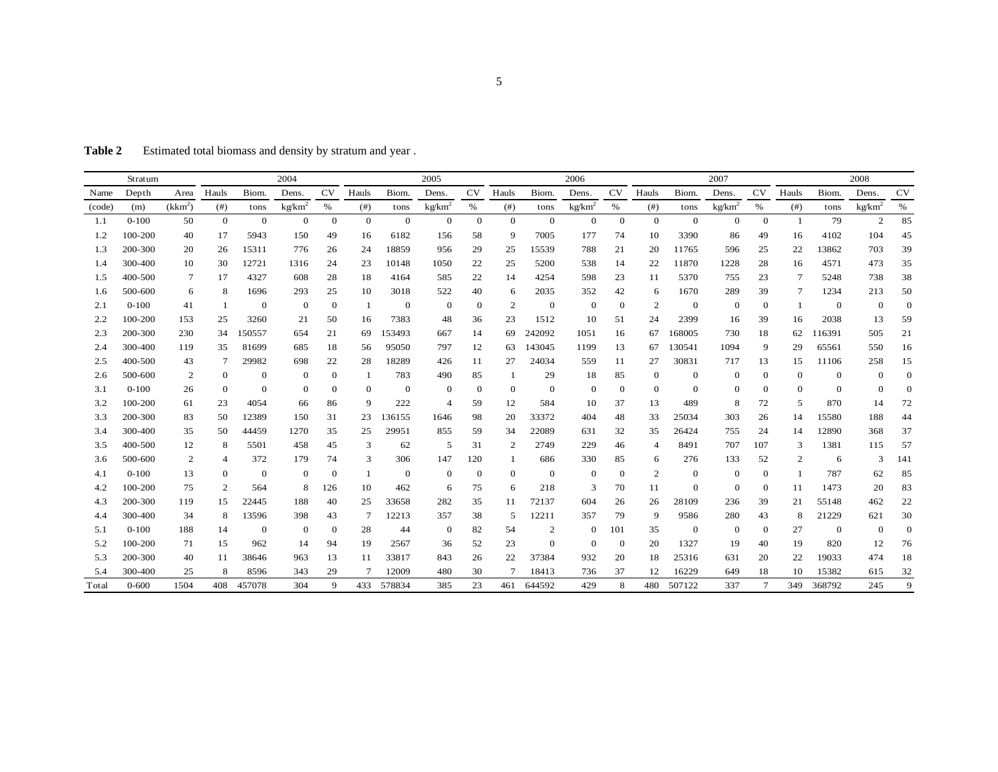**Table 2** Estimated total biomass and density by stratum and year .

| Stratum |           |              | 2004           |              |                    |                | 2005         |                |                    |              | 2006     |                |                    |              | 2007           |                |              |                | 2008           |                |                    |              |
|---------|-----------|--------------|----------------|--------------|--------------------|----------------|--------------|----------------|--------------------|--------------|----------|----------------|--------------------|--------------|----------------|----------------|--------------|----------------|----------------|----------------|--------------------|--------------|
| Name    | Depth     | Area         | Hauls          | Biom.        | Dens.              | <b>CV</b>      | Hauls        | Biom.          | Dens.              | <b>CV</b>    | Hauls    | Biom.          | Dens.              | <b>CV</b>    | Hauls          | Biom.          | Dens.        | <b>CV</b>      | Hauls          | Biom.          | Dens.              | <b>CV</b>    |
| (code)  | (m)       | $(kkm^2)$    | (# )           | tons         | kg/km <sup>2</sup> | %              | (# )         | tons           | kg/km <sup>-</sup> | %            | (# )     | tons           | kg/km <sup>2</sup> | %            | (# )           | tons           | kg/km        | %              | (# )           | tons           | kg/km <sup>2</sup> | %            |
| 1.1     | $0 - 100$ | 50           | $\overline{0}$ | $\mathbf{0}$ | $\theta$           | $\overline{0}$ | $\mathbf{0}$ | $\mathbf{0}$   | $\theta$           | $\mathbf{0}$ | $\theta$ | $\overline{0}$ | $\mathbf{0}$       | $\mathbf{0}$ | $\mathbf{0}$   | $\overline{0}$ | $\mathbf{0}$ | $\overline{0}$ |                | 79             | $\overline{2}$     | 85           |
| 1.2     | 100-200   | 40           | 17             | 5943         | 150                | 49             | 16           | 6182           | 156                | 58           | 9        | 7005           | 177                | 74           | 10             | 3390           | 86           | 49             | 16             | 4102           | 104                | 45           |
| 1.3     | 200-300   | 20           | 26             | 15311        | 776                | 26             | 24           | 18859          | 956                | 29           | 25       | 15539          | 788                | 21           | 20             | 11765          | 596          | 25             | 22             | 13862          | 703                | 39           |
| 1.4     | 300-400   | 10           | 30             | 12721        | 1316               | 24             | 23           | 10148          | 1050               | 22           | 25       | 5200           | 538                | 14           | 22             | 11870          | 1228         | 28             | 16             | 4571           | 473                | 35           |
| 1.5     | 400-500   | 7            | 17             | 4327         | 608                | 28             | 18           | 4164           | 585                | 22           | 14       | 4254           | 598                | 23           | 11             | 5370           | 755          | 23             | 7              | 5248           | 738                | 38           |
| 1.6     | 500-600   | 6            | 8              | 1696         | 293                | 25             | 10           | 3018           | 522                | 40           | 6        | 2035           | 352                | 42           | 6              | 1670           | 289          | 39             | 7              | 1234           | 213                | 50           |
| 2.1     | $0 - 100$ | 41           | -1             | $\theta$     | $\overline{0}$     | $\mathbf{0}$   | -1           | $\overline{0}$ | $\mathbf{0}$       | $\theta$     | 2        | $\mathbf{0}$   | $\theta$           | $\mathbf{0}$ | 2              | $\theta$       | $\bf{0}$     | $\theta$       |                | $\overline{0}$ | $\theta$           | $\mathbf{0}$ |
| 2.2     | 100-200   | 153          | 25             | 3260         | 21                 | 50             | 16           | 7383           | 48                 | 36           | 23       | 1512           | 10                 | 51           | 24             | 2399           | 16           | 39             | 16             | 2038           | 13                 | 59           |
| 2.3     | 200-300   | 230          | 34             | 150557       | 654                | 21             | 69           | 153493         | 667                | 14           | 69       | 242092         | 1051               | 16           | 67             | 168005         | 730          | 18             | 62             | 16391          | 505                | 21           |
| 2.4     | 300-400   | 119          | 35             | 81699        | 685                | 18             | 56           | 95050          | 797                | 12           | 63       | 143045         | 1199               | 13           | 67             | 130541         | 1094         | 9              | 29             | 65561          | 550                | 16           |
| 2.5     | 400-500   | 43           | 7              | 29982        | 698                | 22             | 28           | 18289          | 426                | 11           | 27       | 24034          | 559                | -11          | 27             | 30831          | 717          | 13             | 15             | 11106          | 258                | 15           |
| 2.6     | 500-600   | 2            | $\mathbf{0}$   | $\theta$     | $\theta$           | $\theta$       | -1           | 783            | 490                | 85           | 1        | 29             | 18                 | 85           | $\mathbf{0}$   | $\mathbf 0$    | $\Omega$     | $\theta$       | $\mathbf{0}$   | $\theta$       | $\theta$           | $\mathbf{0}$ |
| 3.1     | $0 - 100$ | 26           | $\theta$       | $\mathbf{0}$ | $\Omega$           | $\Omega$       | $\theta$     | $\mathbf{0}$   | $\mathbf{0}$       | $\mathbf{0}$ | $\theta$ | $\overline{0}$ | $\mathbf{0}$       | 0            | $\mathbf{0}$   | $\theta$       | $\Omega$     | $\Omega$       | 0              | $\Omega$       | $\theta$           | $\mathbf{0}$ |
| 3.2     | 100-200   | 61           | 23             | 4054         | 66                 | 86             | 9            | 222            | $\overline{4}$     | 59           | 12       | 584            | 10                 | 37           | 13             | 489            | 8            | 72             | 5              | 870            | 14                 | 72           |
| 3.3     | 200-300   | 83           | 50             | 12389        | 150                | 31             | 23           | 136155         | 1646               | 98           | 20       | 33372          | 404                | 48           | 33             | 25034          | 303          | 26             | 14             | 15580          | 188                | 44           |
| 3.4     | 300-400   | 35           | 50             | 44459        | 1270               | 35             | 25           | 29951          | 855                | 59           | 34       | 22089          | 631                | 32           | 35             | 26424          | 755          | 24             | 14             | 12890          | 368                | 37           |
| 3.5     | 400-500   | 12           | 8              | 5501         | 458                | 45             | 3            | 62             | 5                  | 31           | 2        | 2749           | 229                | 46           | $\overline{4}$ | 8491           | 707          | 107            | 3              | 1381           | 115                | 57           |
| 3.6     | 500-600   | $\mathbf{2}$ | $\overline{4}$ | 372          | 179                | 74             | 3            | 306            | 147                | 120          | 1        | 686            | 330                | 85           | 6              | 276            | 133          | 52             | $\overline{2}$ | 6              | 3                  | 141          |
| 4.1     | $0 - 100$ | 13           | $\theta$       | $\mathbf{0}$ | $\mathbf{0}$       | $\overline{0}$ |              | $\mathbf{0}$   | $\theta$           | $\mathbf{0}$ | $\theta$ | $\overline{0}$ | $\mathbf{0}$       | $\mathbf{0}$ | $\overline{2}$ | $\theta$       | $\bf{0}$     | $\theta$       |                | 787            | 62                 | 85           |
| 4.2     | 100-200   | 75           | $\overline{c}$ | 564          | 8                  | 126            | 10           | 462            | 6                  | 75           | 6        | 218            | 3                  | 70           | 11             | $\theta$       | $\mathbf{0}$ | $\overline{0}$ | 11             | 1473           | 20                 | 83           |
| 4.3     | 200-300   | 119          | 15             | 22445        | 188                | 40             | 25           | 33658          | 282                | 35           | 11       | 72137          | 604                | 26           | 26             | 28109          | 236          | 39             | 21             | 55148          | 462                | 22           |
| 4.4     | 300-400   | 34           | 8              | 13596        | 398                | 43             | 7            | 12213          | 357                | 38           | 5        | 12211          | 357                | 79           | 9              | 9586           | 280          | 43             | 8              | 21229          | 621                | 30           |
| 5.1     | $0 - 100$ | 188          | 14             | $\mathbf{0}$ | $\overline{0}$     | $\theta$       | 28           | 44             | $\theta$           | 82           | 54       | $\overline{2}$ | $\theta$           | 101          | 35             | $\overline{0}$ | $\theta$     | $\theta$       | 27             | $\overline{0}$ | $\overline{0}$     | $\theta$     |
| 5.2     | 100-200   | 71           | 15             | 962          | 14                 | 94             | 19           | 2567           | 36                 | 52           | 23       | $\theta$       | $\mathbf{0}$       | $\mathbf{0}$ | 20             | 1327           | 19           | 40             | 19             | 820            | 12                 | 76           |
| 5.3     | 200-300   | 40           | -11            | 38646        | 963                | 13             | 11           | 33817          | 843                | 26           | 22       | 37384          | 932                | 20           | 18             | 25316          | 631          | 20             | 22             | 19033          | 474                | 18           |
| 5.4     | 300-400   | 25           | 8              | 8596         | 343                | 29             | 7            | 12009          | 480                | 30           | 7        | 18413          | 736                | 37           | 12             | 16229          | 649          | 18             | 10             | 15382          | 615                | 32           |
| Total   | $0 - 600$ | 1504         | 408            | 457078       | 304                | 9              | 433          | 578834         | 385                | 23           | 461      | 644592         | 429                | 8            | 480            | 507122         | 337          | 7              | 349            | 368792         | 245                | 9            |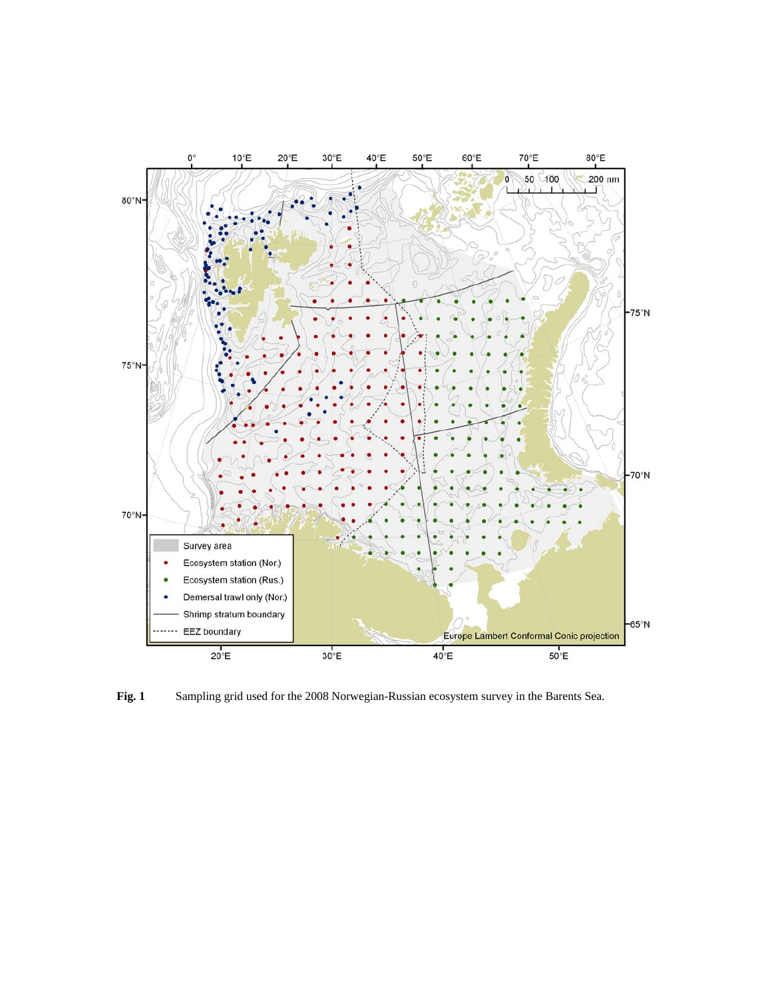

**Fig. 1** Sampling grid used for the 2008 Norwegian-Russian ecosystem survey in the Barents Sea.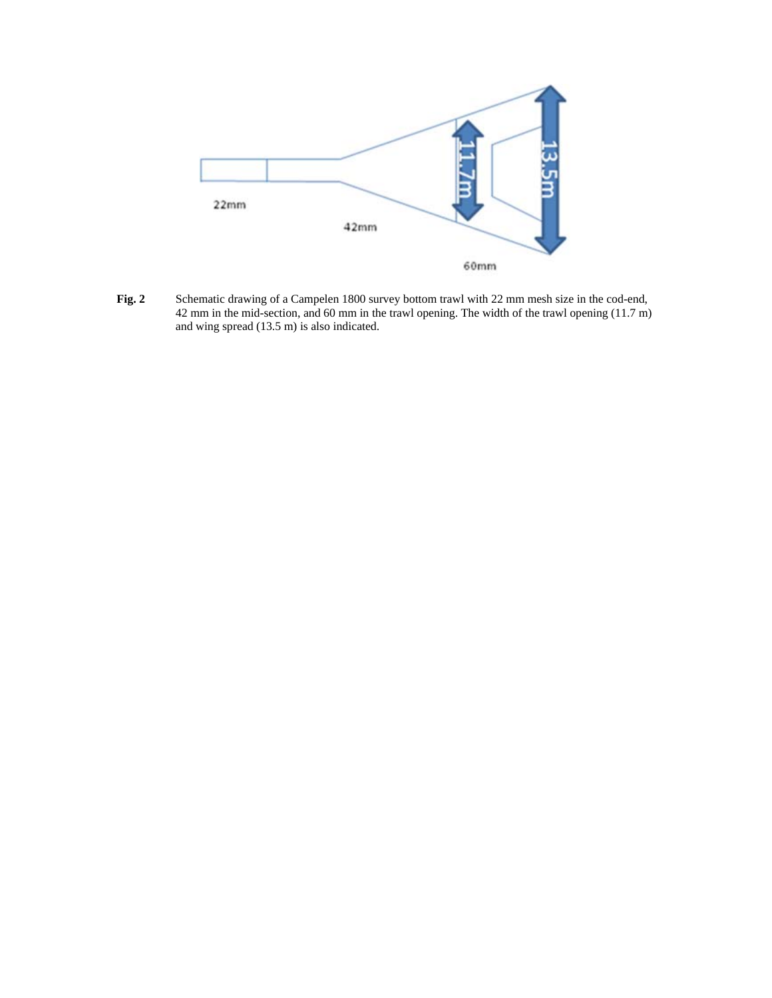

**Fig. 2** Schematic drawing of a Campelen 1800 survey bottom trawl with 22 mm mesh size in the cod-end, 42 mm in the mid-section, and 60 mm in the trawl opening. The width of the trawl opening (11.7 m) and wing spread (13.5 m) is also indicated.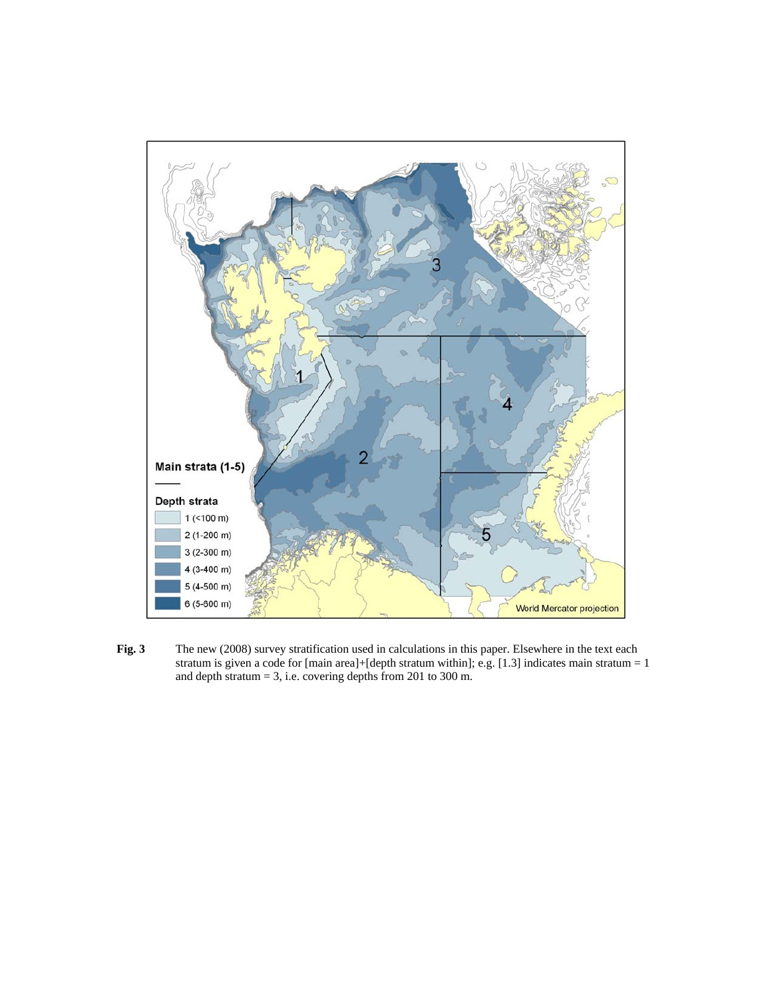

**Fig. 3** The new (2008) survey stratification used in calculations in this paper. Elsewhere in the text each stratum is given a code for [main area]+[depth stratum within]; e.g. [1.3] indicates main stratum = 1 and depth stratum = 3, i.e. covering depths from 201 to 300 m.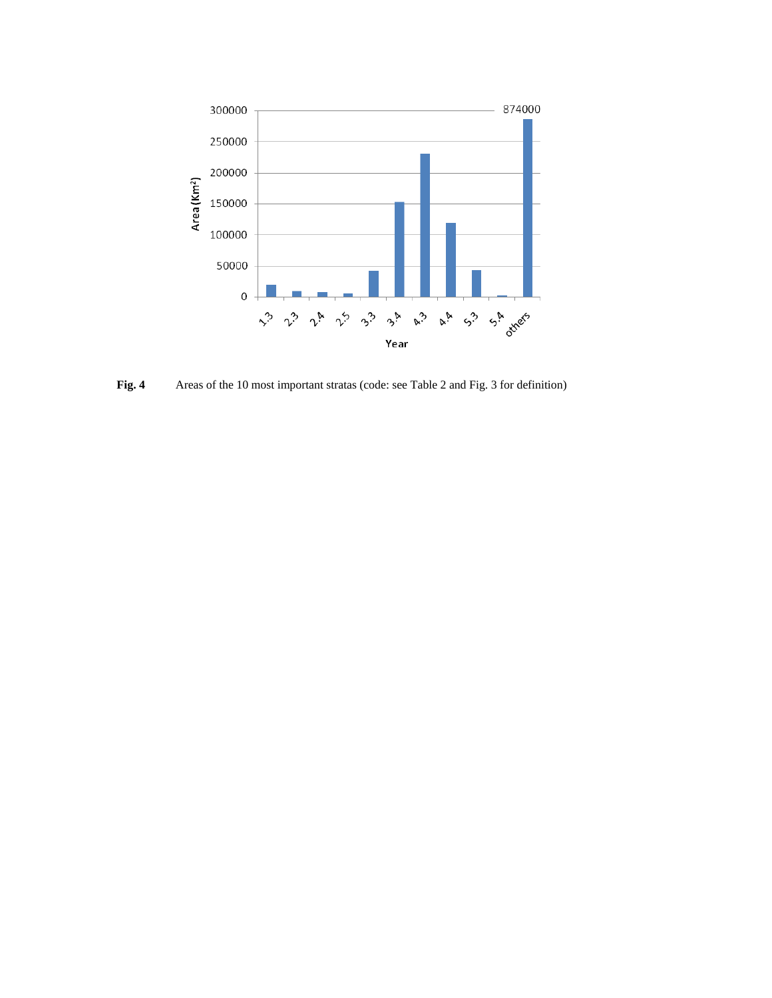

**Fig. 4** Areas of the 10 most important stratas (code: see Table 2 and Fig. 3 for definition)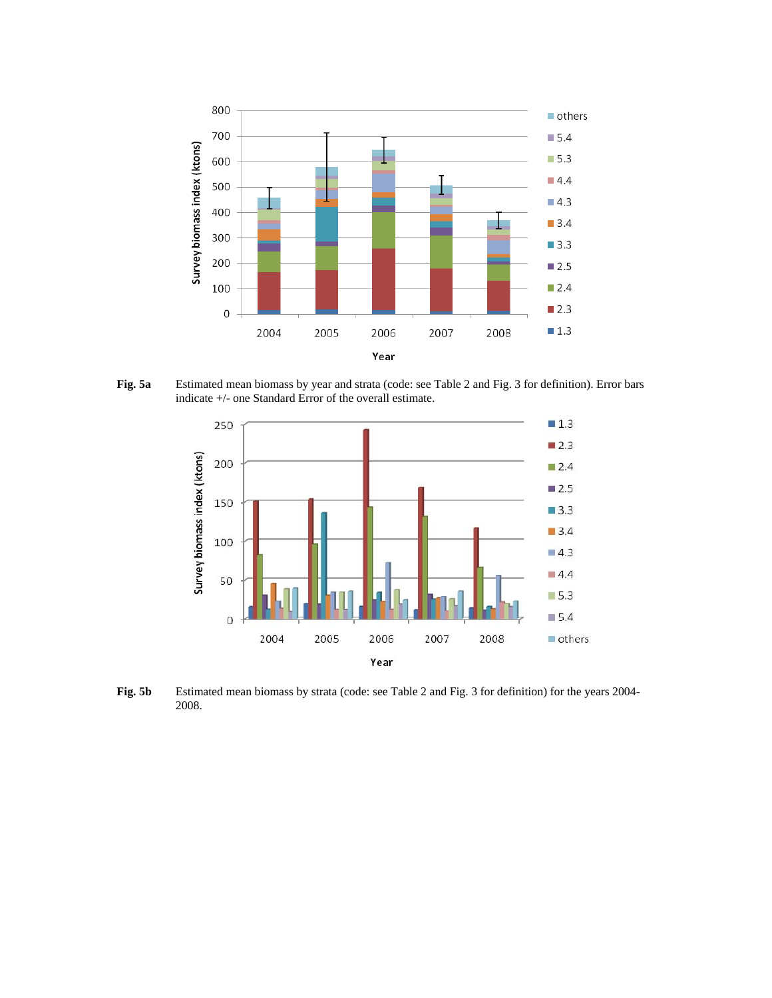

**Fig. 5a** Estimated mean biomass by year and strata (code: see Table 2 and Fig. 3 for definition). Error bars indicate +/- one Standard Error of the overall estimate.



**Fig. 5b** Estimated mean biomass by strata (code: see Table 2 and Fig. 3 for definition) for the years 2004- 2008.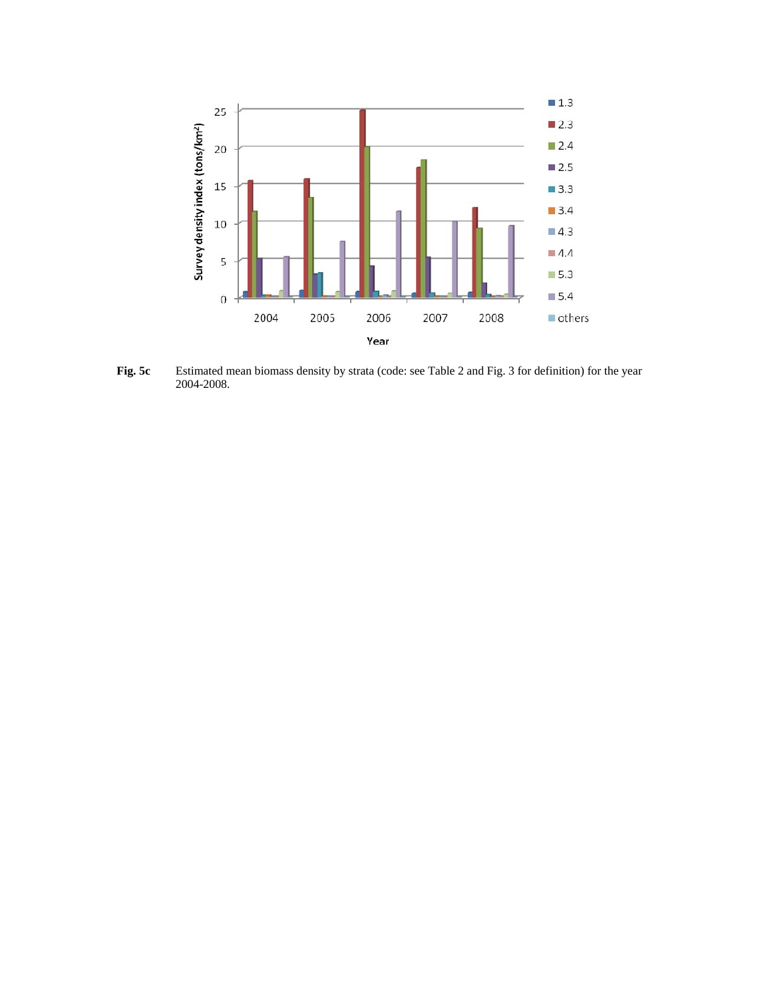

**Fig. 5c** Estimated mean biomass density by strata (code: see Table 2 and Fig. 3 for definition) for the year 2004-2008.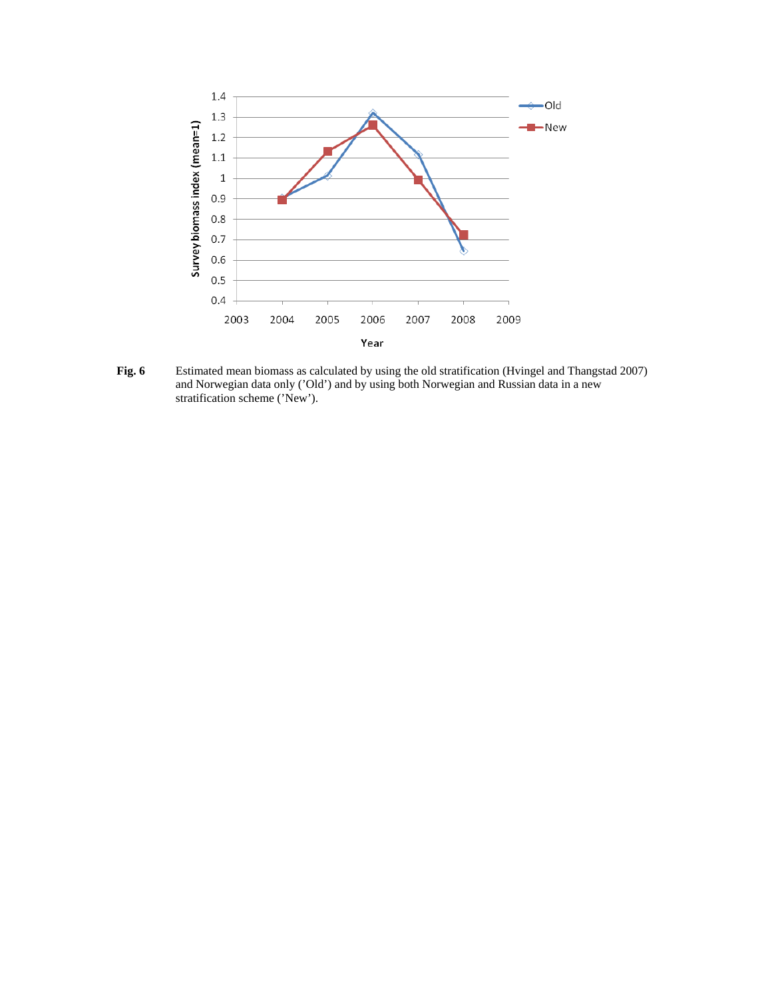

**Fig. 6** Estimated mean biomass as calculated by using the old stratification (Hvingel and Thangstad 2007) and Norwegian data only ('Old') and by using both Norwegian and Russian data in a new stratification scheme ('New').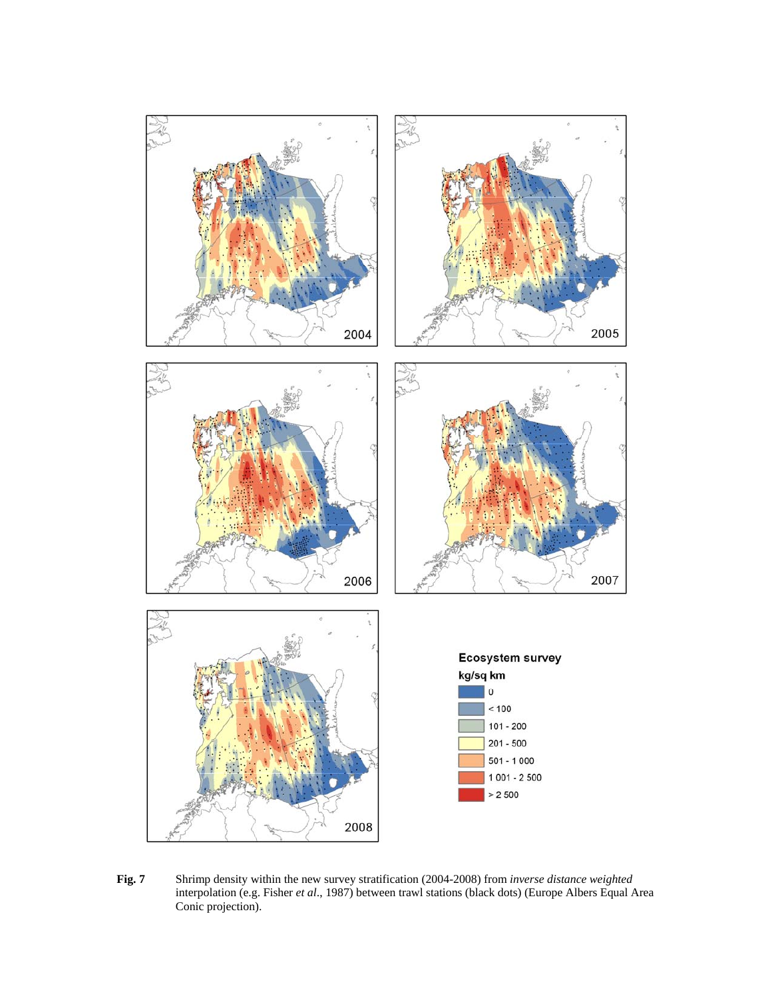

**Fig. 7** Shrimp density within the new survey stratification (2004-2008) from *inverse distance weighted* interpolation (e.g. Fisher *et al*., 1987) between trawl stations (black dots) (Europe Albers Equal Area Conic projection).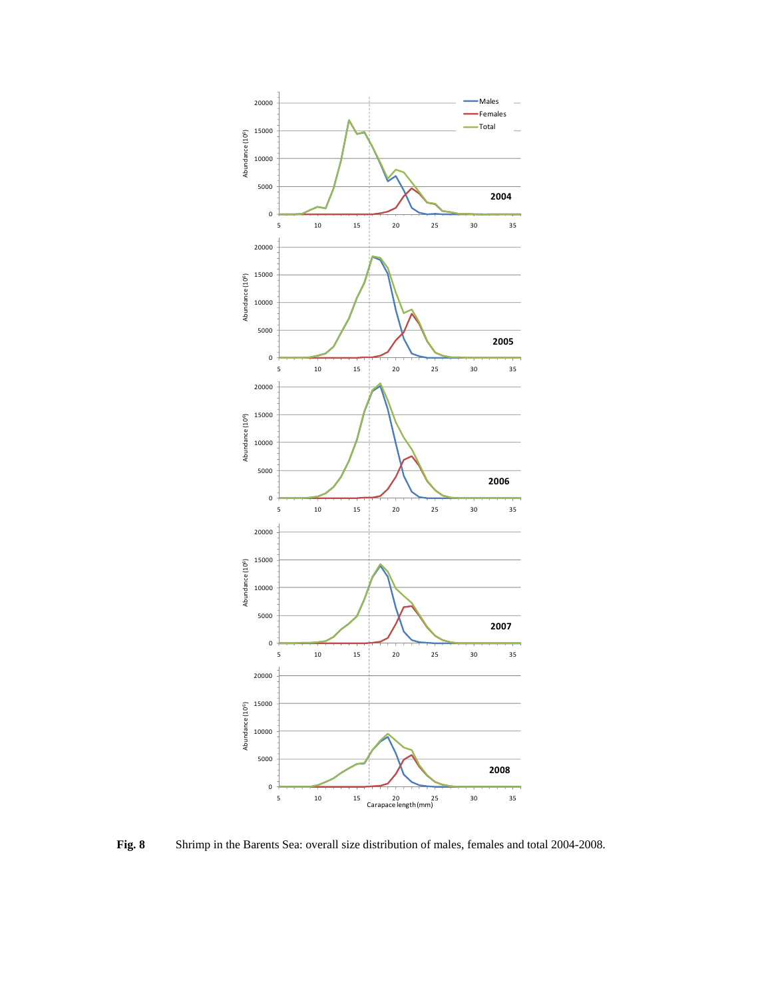

Fig. 8 Shrimp in the Barents Sea: overall size distribution of males, females and total 2004-2008.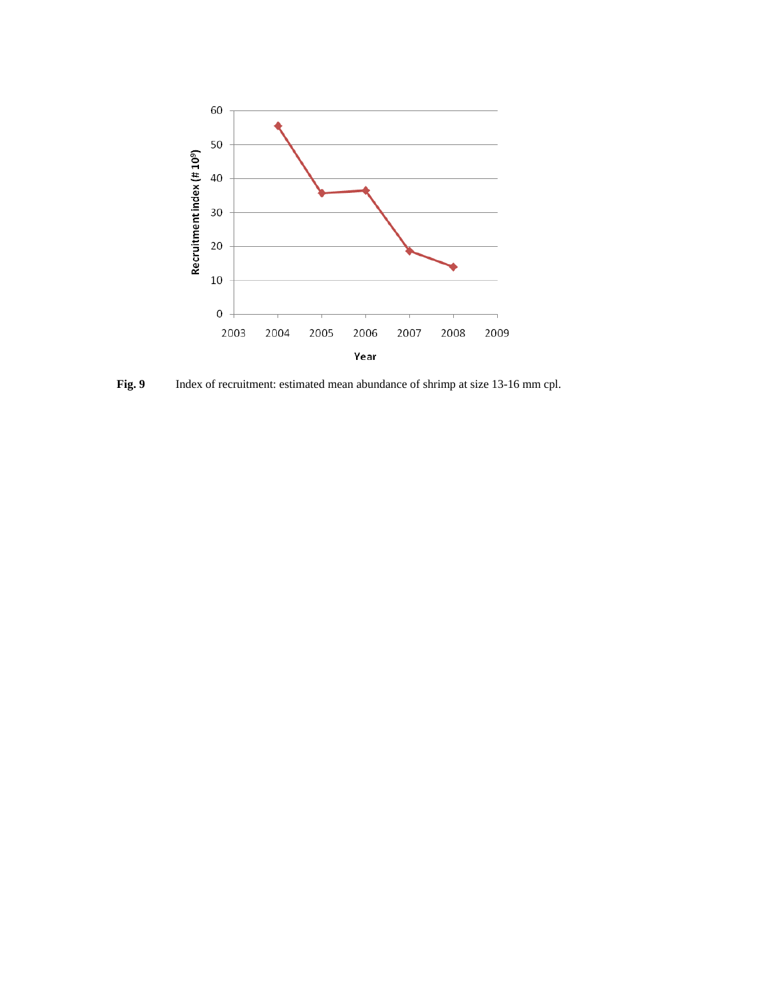

Fig. 9 Index of recruitment: estimated mean abundance of shrimp at size 13-16 mm cpl.